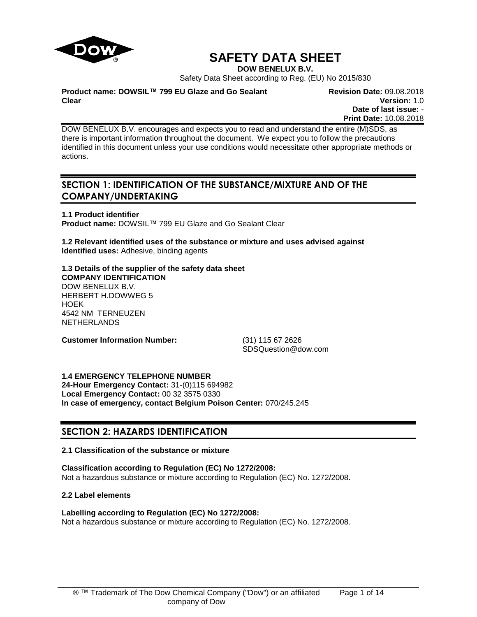

# **SAFETY DATA SHEET**

**DOW BENELUX B.V.**

Safety Data Sheet according to Reg. (EU) No 2015/830

**Product name: DOWSIL™ 799 EU Glaze and Go Sealant Clear**

**Revision Date:** 09.08.2018 **Version:** 1.0 **Date of last issue:** - **Print Date:** 10.08.2018

DOW BENELUX B.V. encourages and expects you to read and understand the entire (M)SDS, as there is important information throughout the document. We expect you to follow the precautions identified in this document unless your use conditions would necessitate other appropriate methods or actions.

# **SECTION 1: IDENTIFICATION OF THE SUBSTANCE/MIXTURE AND OF THE COMPANY/UNDERTAKING**

**1.1 Product identifier Product name:** DOWSIL™ 799 EU Glaze and Go Sealant Clear

**1.2 Relevant identified uses of the substance or mixture and uses advised against Identified uses:** Adhesive, binding agents

**1.3 Details of the supplier of the safety data sheet COMPANY IDENTIFICATION** DOW BENELUX B.V. HERBERT H.DOWWEG 5 HOEK 4542 NM TERNEUZEN NETHERLANDS

**Customer Information Number:** (31) 115 67 2626

SDSQuestion@dow.com

**1.4 EMERGENCY TELEPHONE NUMBER 24-Hour Emergency Contact:** 31-(0)115 694982 **Local Emergency Contact:** 00 32 3575 0330 **In case of emergency, contact Belgium Poison Center:** 070/245.245

# **SECTION 2: HAZARDS IDENTIFICATION**

# **2.1 Classification of the substance or mixture**

# **Classification according to Regulation (EC) No 1272/2008:**

Not a hazardous substance or mixture according to Regulation (EC) No. 1272/2008.

# **2.2 Label elements**

# **Labelling according to Regulation (EC) No 1272/2008:**

Not a hazardous substance or mixture according to Regulation (EC) No. 1272/2008.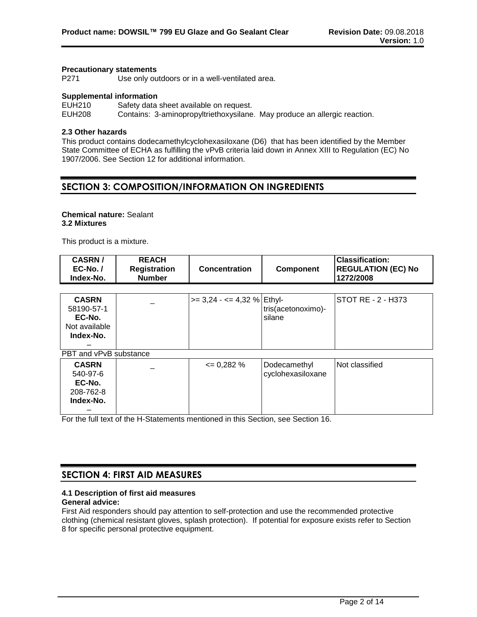#### **Precautionary statements**

P271 Use only outdoors or in a well-ventilated area.

### **Supplemental information**

EUH210 Safety data sheet available on request. EUH208 Contains: 3-aminopropyltriethoxysilane. May produce an allergic reaction.

### **2.3 Other hazards**

This product contains dodecamethylcyclohexasiloxane (D6) that has been identified by the Member State Committee of ECHA as fulfilling the vPvB criteria laid down in Annex XIII to Regulation (EC) No 1907/2006. See Section 12 for additional information.

# **SECTION 3: COMPOSITION/INFORMATION ON INGREDIENTS**

### **Chemical nature:** Sealant **3.2 Mixtures**

This product is a mixture.

| <b>CASRN/</b><br>$EC-No.$<br>Index-No.                             | <b>REACH</b><br><b>Registration</b><br><b>Number</b> | Concentration                   | Component                         | <b>Classification:</b><br><b>REGULATION (EC) No</b><br>1272/2008 |
|--------------------------------------------------------------------|------------------------------------------------------|---------------------------------|-----------------------------------|------------------------------------------------------------------|
|                                                                    |                                                      |                                 |                                   |                                                                  |
| <b>CASRN</b><br>58190-57-1<br>EC-No.<br>Not available<br>Index-No. |                                                      | $\ge$ = 3,24 - <= 4,32 % Ethyl- | tris(acetonoximo)-<br>silane      | STOT RE - 2 - H373                                               |
| PBT and vPvB substance                                             |                                                      |                                 |                                   |                                                                  |
| <b>CASRN</b><br>540-97-6<br>EC-No.<br>208-762-8<br>Index-No.       |                                                      | $= 0,282%$                      | Dodecamethyl<br>cyclohexasiloxane | Not classified                                                   |

For the full text of the H-Statements mentioned in this Section, see Section 16.

# **SECTION 4: FIRST AID MEASURES**

# **4.1 Description of first aid measures**

### **General advice:**

First Aid responders should pay attention to self-protection and use the recommended protective clothing (chemical resistant gloves, splash protection). If potential for exposure exists refer to Section 8 for specific personal protective equipment.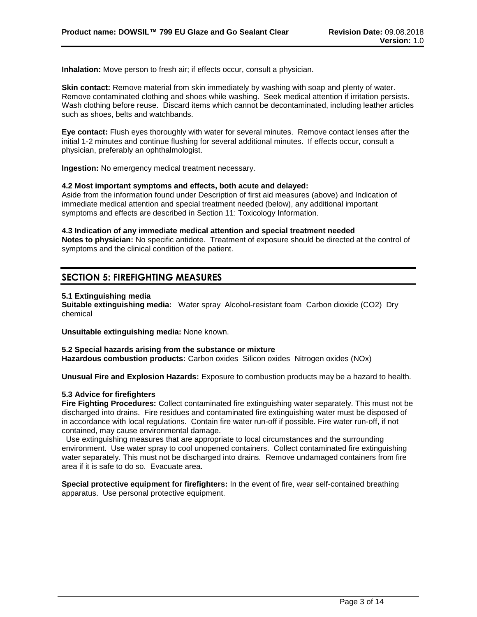**Inhalation:** Move person to fresh air; if effects occur, consult a physician.

**Skin contact:** Remove material from skin immediately by washing with soap and plenty of water. Remove contaminated clothing and shoes while washing. Seek medical attention if irritation persists. Wash clothing before reuse. Discard items which cannot be decontaminated, including leather articles such as shoes, belts and watchbands.

**Eye contact:** Flush eyes thoroughly with water for several minutes. Remove contact lenses after the initial 1-2 minutes and continue flushing for several additional minutes. If effects occur, consult a physician, preferably an ophthalmologist.

**Ingestion:** No emergency medical treatment necessary.

#### **4.2 Most important symptoms and effects, both acute and delayed:**

Aside from the information found under Description of first aid measures (above) and Indication of immediate medical attention and special treatment needed (below), any additional important symptoms and effects are described in Section 11: Toxicology Information.

#### **4.3 Indication of any immediate medical attention and special treatment needed**

**Notes to physician:** No specific antidote. Treatment of exposure should be directed at the control of symptoms and the clinical condition of the patient.

# **SECTION 5: FIREFIGHTING MEASURES**

#### **5.1 Extinguishing media**

**Suitable extinguishing media:** Water spray Alcohol-resistant foam Carbon dioxide (CO2) Dry chemical

**Unsuitable extinguishing media:** None known.

# **5.2 Special hazards arising from the substance or mixture**

**Hazardous combustion products:** Carbon oxides Silicon oxides Nitrogen oxides (NOx)

**Unusual Fire and Explosion Hazards:** Exposure to combustion products may be a hazard to health.

# **5.3 Advice for firefighters**

**Fire Fighting Procedures:** Collect contaminated fire extinguishing water separately. This must not be discharged into drains. Fire residues and contaminated fire extinguishing water must be disposed of in accordance with local regulations. Contain fire water run-off if possible. Fire water run-off, if not contained, may cause environmental damage.

 Use extinguishing measures that are appropriate to local circumstances and the surrounding environment. Use water spray to cool unopened containers. Collect contaminated fire extinguishing water separately. This must not be discharged into drains. Remove undamaged containers from fire area if it is safe to do so. Evacuate area.

**Special protective equipment for firefighters:** In the event of fire, wear self-contained breathing apparatus. Use personal protective equipment.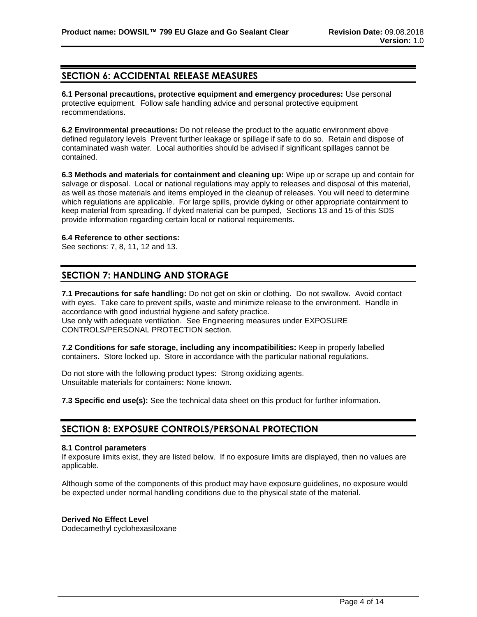# **SECTION 6: ACCIDENTAL RELEASE MEASURES**

**6.1 Personal precautions, protective equipment and emergency procedures:** Use personal protective equipment. Follow safe handling advice and personal protective equipment recommendations.

**6.2 Environmental precautions:** Do not release the product to the aquatic environment above defined regulatory levels Prevent further leakage or spillage if safe to do so. Retain and dispose of contaminated wash water. Local authorities should be advised if significant spillages cannot be contained.

**6.3 Methods and materials for containment and cleaning up:** Wipe up or scrape up and contain for salvage or disposal. Local or national regulations may apply to releases and disposal of this material, as well as those materials and items employed in the cleanup of releases. You will need to determine which regulations are applicable. For large spills, provide dyking or other appropriate containment to keep material from spreading. If dyked material can be pumped, Sections 13 and 15 of this SDS provide information regarding certain local or national requirements.

# **6.4 Reference to other sections:**

See sections: 7, 8, 11, 12 and 13.

# **SECTION 7: HANDLING AND STORAGE**

**7.1 Precautions for safe handling:** Do not get on skin or clothing. Do not swallow. Avoid contact with eyes. Take care to prevent spills, waste and minimize release to the environment. Handle in accordance with good industrial hygiene and safety practice. Use only with adequate ventilation. See Engineering measures under EXPOSURE CONTROLS/PERSONAL PROTECTION section.

**7.2 Conditions for safe storage, including any incompatibilities:** Keep in properly labelled containers. Store locked up. Store in accordance with the particular national regulations.

Do not store with the following product types: Strong oxidizing agents. Unsuitable materials for containers**:** None known.

**7.3 Specific end use(s):** See the technical data sheet on this product for further information.

# **SECTION 8: EXPOSURE CONTROLS/PERSONAL PROTECTION**

# **8.1 Control parameters**

If exposure limits exist, they are listed below. If no exposure limits are displayed, then no values are applicable.

Although some of the components of this product may have exposure guidelines, no exposure would be expected under normal handling conditions due to the physical state of the material.

# **Derived No Effect Level**

Dodecamethyl cyclohexasiloxane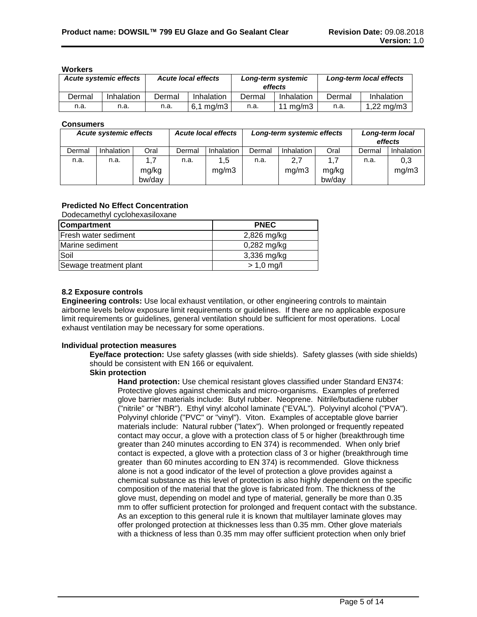#### **Workers**

| <b>Acute systemic effects</b> |            | <b>Acute local effects</b> |              | Long-term systemic<br>effects |             | Long-term local effects |               |
|-------------------------------|------------|----------------------------|--------------|-------------------------------|-------------|-------------------------|---------------|
| Dermal                        | Inhalation | Dermal                     | Inhalation   | Dermal                        | Inhalation  | Dermal                  | Inhalation    |
| n.a.                          | n.a.       | n.a.                       | ma/m3<br>6.1 | n.a.                          | 11 mg/m $3$ | n.a.                    | 1,22 mg/m $3$ |

### **Consumers**

| <b>Acute systemic effects</b> |                   |                        |        | <b>Acute local effects</b> | Long-term systemic effects |              | Long-term local<br>effects |        |              |
|-------------------------------|-------------------|------------------------|--------|----------------------------|----------------------------|--------------|----------------------------|--------|--------------|
| Dermal                        | <b>Inhalation</b> | Oral                   | Dermal | Inhalation                 | Dermal                     | Inhalation   | Oral                       | Dermal | Inhalation   |
| n.a.                          | n.a.              | 1.7<br>mg/kg<br>bw/day | n.a.   | 1,5<br>mq/m3               | n.a.                       | 2,7<br>mg/m3 | 1.7<br>mg/kg<br>bw/day     | n.a.   | 0,3<br>mg/m3 |

# **Predicted No Effect Concentration**

Dodecamethyl cyclohexasiloxane

| <b>Compartment</b>     | <b>PNEC</b>   |
|------------------------|---------------|
| Fresh water sediment   | 2,826 mg/kg   |
| Marine sediment        | $0,282$ mg/kg |
| Soil                   | $3,336$ mg/kg |
| Sewage treatment plant | $> 1.0$ mg/l  |

# **8.2 Exposure controls**

**Engineering controls:** Use local exhaust ventilation, or other engineering controls to maintain airborne levels below exposure limit requirements or guidelines. If there are no applicable exposure limit requirements or guidelines, general ventilation should be sufficient for most operations. Local exhaust ventilation may be necessary for some operations.

#### **Individual protection measures**

**Eye/face protection:** Use safety glasses (with side shields). Safety glasses (with side shields) should be consistent with EN 166 or equivalent.

# **Skin protection**

**Hand protection:** Use chemical resistant gloves classified under Standard EN374: Protective gloves against chemicals and micro-organisms. Examples of preferred glove barrier materials include: Butyl rubber. Neoprene. Nitrile/butadiene rubber ("nitrile" or "NBR"). Ethyl vinyl alcohol laminate ("EVAL"). Polyvinyl alcohol ("PVA"). Polyvinyl chloride ("PVC" or "vinyl"). Viton. Examples of acceptable glove barrier materials include: Natural rubber ("latex"). When prolonged or frequently repeated contact may occur, a glove with a protection class of 5 or higher (breakthrough time greater than 240 minutes according to EN 374) is recommended. When only brief contact is expected, a glove with a protection class of 3 or higher (breakthrough time greater than 60 minutes according to EN 374) is recommended. Glove thickness alone is not a good indicator of the level of protection a glove provides against a chemical substance as this level of protection is also highly dependent on the specific composition of the material that the glove is fabricated from. The thickness of the glove must, depending on model and type of material, generally be more than 0.35 mm to offer sufficient protection for prolonged and frequent contact with the substance. As an exception to this general rule it is known that multilayer laminate gloves may offer prolonged protection at thicknesses less than 0.35 mm. Other glove materials with a thickness of less than 0.35 mm may offer sufficient protection when only brief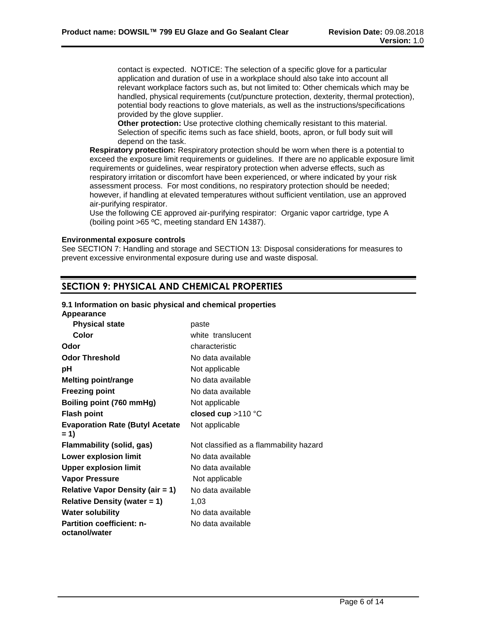contact is expected. NOTICE: The selection of a specific glove for a particular application and duration of use in a workplace should also take into account all relevant workplace factors such as, but not limited to: Other chemicals which may be handled, physical requirements (cut/puncture protection, dexterity, thermal protection), potential body reactions to glove materials, as well as the instructions/specifications provided by the glove supplier.

**Other protection:** Use protective clothing chemically resistant to this material. Selection of specific items such as face shield, boots, apron, or full body suit will depend on the task.

**Respiratory protection:** Respiratory protection should be worn when there is a potential to exceed the exposure limit requirements or guidelines. If there are no applicable exposure limit requirements or guidelines, wear respiratory protection when adverse effects, such as respiratory irritation or discomfort have been experienced, or where indicated by your risk assessment process. For most conditions, no respiratory protection should be needed; however, if handling at elevated temperatures without sufficient ventilation, use an approved air-purifying respirator.

Use the following CE approved air-purifying respirator: Organic vapor cartridge, type A (boiling point >65 ºC, meeting standard EN 14387).

# **Environmental exposure controls**

See SECTION 7: Handling and storage and SECTION 13: Disposal considerations for measures to prevent excessive environmental exposure during use and waste disposal.

# **SECTION 9: PHYSICAL AND CHEMICAL PROPERTIES**

#### **9.1 Information on basic physical and chemical properties**

| Appearance                                        |                                         |
|---------------------------------------------------|-----------------------------------------|
| <b>Physical state</b>                             | paste                                   |
| Color                                             | white translucent                       |
| Odor                                              | characteristic                          |
| <b>Odor Threshold</b>                             | No data available                       |
| рH                                                | Not applicable                          |
| <b>Melting point/range</b>                        | No data available                       |
| <b>Freezing point</b>                             | No data available                       |
| Boiling point (760 mmHg)                          | Not applicable                          |
| <b>Flash point</b>                                | closed cup $>110$ °C                    |
| <b>Evaporation Rate (Butyl Acetate</b><br>$= 1$   | Not applicable                          |
| Flammability (solid, gas)                         | Not classified as a flammability hazard |
| <b>Lower explosion limit</b>                      | No data available                       |
| <b>Upper explosion limit</b>                      | No data available                       |
| <b>Vapor Pressure</b>                             | Not applicable                          |
| <b>Relative Vapor Density (air = 1)</b>           | No data available                       |
| <b>Relative Density (water = 1)</b>               | 1,03                                    |
| <b>Water solubility</b>                           | No data available                       |
| <b>Partition coefficient: n-</b><br>octanol/water | No data available                       |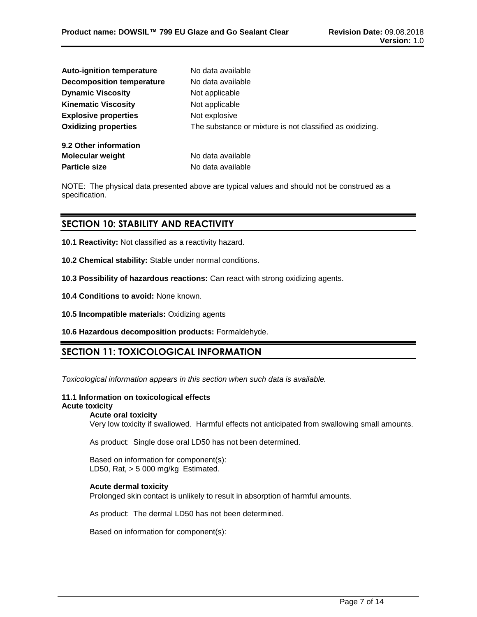| <b>Auto-ignition temperature</b> | No data available                                        |
|----------------------------------|----------------------------------------------------------|
| <b>Decomposition temperature</b> | No data available                                        |
| <b>Dynamic Viscosity</b>         | Not applicable                                           |
| <b>Kinematic Viscosity</b>       | Not applicable                                           |
| <b>Explosive properties</b>      | Not explosive                                            |
| <b>Oxidizing properties</b>      | The substance or mixture is not classified as oxidizing. |
| 9.2 Other information            |                                                          |
| <b>Molecular weight</b>          | No data available                                        |
| <b>Particle size</b>             | No data available                                        |

NOTE: The physical data presented above are typical values and should not be construed as a specification.

# **SECTION 10: STABILITY AND REACTIVITY**

- **10.1 Reactivity:** Not classified as a reactivity hazard.
- **10.2 Chemical stability:** Stable under normal conditions.
- **10.3 Possibility of hazardous reactions:** Can react with strong oxidizing agents.
- **10.4 Conditions to avoid:** None known.
- **10.5 Incompatible materials:** Oxidizing agents
- **10.6 Hazardous decomposition products:** Formaldehyde.

# **SECTION 11: TOXICOLOGICAL INFORMATION**

*Toxicological information appears in this section when such data is available.*

#### **11.1 Information on toxicological effects Acute toxicity**

# **Acute oral toxicity**

Very low toxicity if swallowed. Harmful effects not anticipated from swallowing small amounts.

As product: Single dose oral LD50 has not been determined.

Based on information for component(s): LD50, Rat, > 5 000 mg/kg Estimated.

# **Acute dermal toxicity**

Prolonged skin contact is unlikely to result in absorption of harmful amounts.

As product: The dermal LD50 has not been determined.

Based on information for component(s):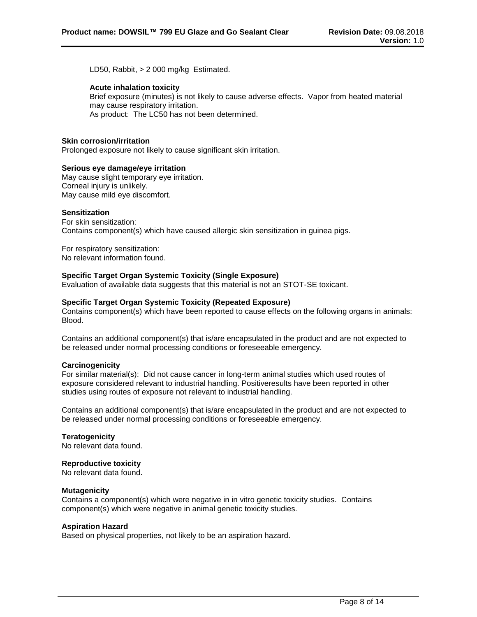LD50, Rabbit, > 2 000 mg/kg Estimated.

### **Acute inhalation toxicity**

Brief exposure (minutes) is not likely to cause adverse effects. Vapor from heated material may cause respiratory irritation. As product: The LC50 has not been determined.

# **Skin corrosion/irritation**

Prolonged exposure not likely to cause significant skin irritation.

#### **Serious eye damage/eye irritation**

May cause slight temporary eye irritation. Corneal injury is unlikely. May cause mild eye discomfort.

#### **Sensitization**

For skin sensitization: Contains component(s) which have caused allergic skin sensitization in guinea pigs.

For respiratory sensitization: No relevant information found.

# **Specific Target Organ Systemic Toxicity (Single Exposure)**

Evaluation of available data suggests that this material is not an STOT-SE toxicant.

#### **Specific Target Organ Systemic Toxicity (Repeated Exposure)**

Contains component(s) which have been reported to cause effects on the following organs in animals: Blood.

Contains an additional component(s) that is/are encapsulated in the product and are not expected to be released under normal processing conditions or foreseeable emergency.

# **Carcinogenicity**

For similar material(s): Did not cause cancer in long-term animal studies which used routes of exposure considered relevant to industrial handling. Positiveresults have been reported in other studies using routes of exposure not relevant to industrial handling.

Contains an additional component(s) that is/are encapsulated in the product and are not expected to be released under normal processing conditions or foreseeable emergency.

**Teratogenicity** No relevant data found.

# **Reproductive toxicity**

No relevant data found.

#### **Mutagenicity**

Contains a component(s) which were negative in in vitro genetic toxicity studies. Contains component(s) which were negative in animal genetic toxicity studies.

#### **Aspiration Hazard**

Based on physical properties, not likely to be an aspiration hazard.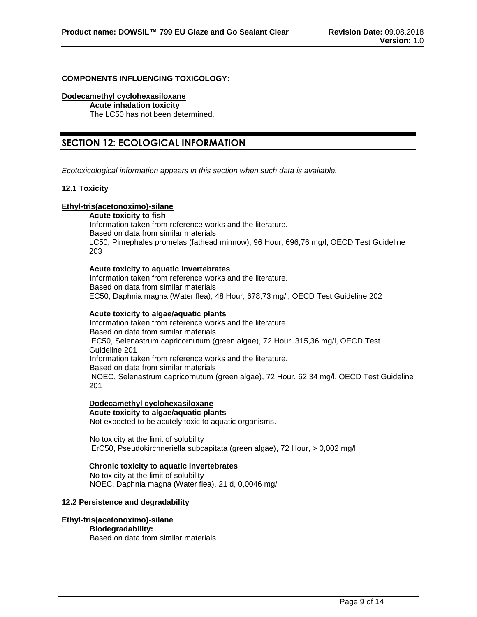#### **COMPONENTS INFLUENCING TOXICOLOGY:**

#### **Dodecamethyl cyclohexasiloxane**

**Acute inhalation toxicity** The LC50 has not been determined.

# **SECTION 12: ECOLOGICAL INFORMATION**

*Ecotoxicological information appears in this section when such data is available.*

# **12.1 Toxicity**

# **Ethyl-tris(acetonoximo)-silane**

**Acute toxicity to fish** Information taken from reference works and the literature. Based on data from similar materials LC50, Pimephales promelas (fathead minnow), 96 Hour, 696,76 mg/l, OECD Test Guideline 203

#### **Acute toxicity to aquatic invertebrates**

Information taken from reference works and the literature. Based on data from similar materials EC50, Daphnia magna (Water flea), 48 Hour, 678,73 mg/l, OECD Test Guideline 202

# **Acute toxicity to algae/aquatic plants**

Information taken from reference works and the literature. Based on data from similar materials EC50, Selenastrum capricornutum (green algae), 72 Hour, 315,36 mg/l, OECD Test Guideline 201 Information taken from reference works and the literature. Based on data from similar materials NOEC, Selenastrum capricornutum (green algae), 72 Hour, 62,34 mg/l, OECD Test Guideline 201

# **Dodecamethyl cyclohexasiloxane**

**Acute toxicity to algae/aquatic plants** Not expected to be acutely toxic to aquatic organisms.

No toxicity at the limit of solubility ErC50, Pseudokirchneriella subcapitata (green algae), 72 Hour, > 0,002 mg/l

# **Chronic toxicity to aquatic invertebrates**

No toxicity at the limit of solubility NOEC, Daphnia magna (Water flea), 21 d, 0,0046 mg/l

#### **12.2 Persistence and degradability**

# **Ethyl-tris(acetonoximo)-silane**

# **Biodegradability:**

Based on data from similar materials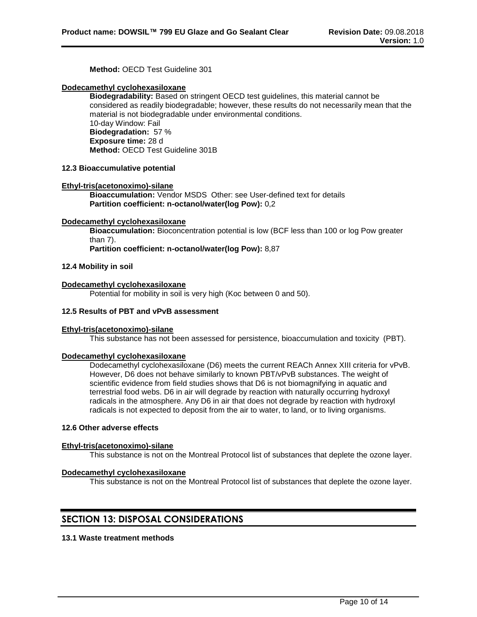**Method:** OECD Test Guideline 301

### **Dodecamethyl cyclohexasiloxane**

**Biodegradability:** Based on stringent OECD test guidelines, this material cannot be considered as readily biodegradable; however, these results do not necessarily mean that the material is not biodegradable under environmental conditions. 10-day Window: Fail **Biodegradation:** 57 % **Exposure time:** 28 d **Method:** OECD Test Guideline 301B

### **12.3 Bioaccumulative potential**

#### **Ethyl-tris(acetonoximo)-silane**

**Bioaccumulation:** Vendor MSDS Other: see User-defined text for details **Partition coefficient: n-octanol/water(log Pow):** 0,2

#### **Dodecamethyl cyclohexasiloxane**

**Bioaccumulation:** Bioconcentration potential is low (BCF less than 100 or log Pow greater than 7).

**Partition coefficient: n-octanol/water(log Pow):** 8,87

#### **12.4 Mobility in soil**

#### **Dodecamethyl cyclohexasiloxane**

Potential for mobility in soil is very high (Koc between 0 and 50).

### **12.5 Results of PBT and vPvB assessment**

# **Ethyl-tris(acetonoximo)-silane**

This substance has not been assessed for persistence, bioaccumulation and toxicity (PBT).

#### **Dodecamethyl cyclohexasiloxane**

Dodecamethyl cyclohexasiloxane (D6) meets the current REACh Annex XIII criteria for vPvB. However, D6 does not behave similarly to known PBT/vPvB substances. The weight of scientific evidence from field studies shows that D6 is not biomagnifying in aquatic and terrestrial food webs. D6 in air will degrade by reaction with naturally occurring hydroxyl radicals in the atmosphere. Any D6 in air that does not degrade by reaction with hydroxyl radicals is not expected to deposit from the air to water, to land, or to living organisms.

#### **12.6 Other adverse effects**

#### **Ethyl-tris(acetonoximo)-silane**

This substance is not on the Montreal Protocol list of substances that deplete the ozone layer.

#### **Dodecamethyl cyclohexasiloxane**

This substance is not on the Montreal Protocol list of substances that deplete the ozone layer.

# **SECTION 13: DISPOSAL CONSIDERATIONS**

# **13.1 Waste treatment methods**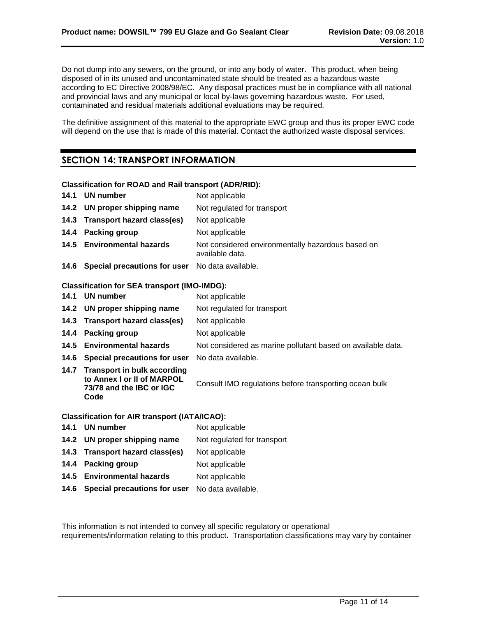Do not dump into any sewers, on the ground, or into any body of water. This product, when being disposed of in its unused and uncontaminated state should be treated as a hazardous waste according to EC Directive 2008/98/EC. Any disposal practices must be in compliance with all national and provincial laws and any municipal or local by-laws governing hazardous waste. For used, contaminated and residual materials additional evaluations may be required.

The definitive assignment of this material to the appropriate EWC group and thus its proper EWC code will depend on the use that is made of this material. Contact the authorized waste disposal services.

# **SECTION 14: TRANSPORT INFORMATION**

# **Classification for ROAD and Rail transport (ADR/RID):**

|      | 14.1 UN number                                                                                     | Not applicable                                                       |
|------|----------------------------------------------------------------------------------------------------|----------------------------------------------------------------------|
|      | 14.2 UN proper shipping name                                                                       | Not regulated for transport                                          |
|      | 14.3 Transport hazard class(es)                                                                    | Not applicable                                                       |
| 14.4 | <b>Packing group</b>                                                                               | Not applicable                                                       |
|      | 14.5 Environmental hazards                                                                         | Not considered environmentally hazardous based on<br>available data. |
|      | 14.6 Special precautions for user No data available.                                               |                                                                      |
|      | <b>Classification for SEA transport (IMO-IMDG):</b>                                                |                                                                      |
|      | 14.1 UN number                                                                                     | Not applicable                                                       |
|      | 14.2 UN proper shipping name                                                                       | Not regulated for transport                                          |
|      | 14.3 Transport hazard class(es)                                                                    | Not applicable                                                       |
| 14.4 | <b>Packing group</b>                                                                               | Not applicable                                                       |
|      | 14.5 Environmental hazards                                                                         | Not considered as marine pollutant based on available data.          |
|      | 14.6 Special precautions for user                                                                  | No data available.                                                   |
|      | 14.7 Transport in bulk according<br>to Annex I or II of MARPOL<br>73/78 and the IBC or IGC<br>Code | Consult IMO regulations before transporting ocean bulk               |
|      | <b>Classification for AIR transport (IATA/ICAO):</b>                                               |                                                                      |
|      | 14.1 UN number                                                                                     | Not applicable                                                       |
|      | 14.2 UN proper shinning name                                                                       | Not requisited for transport                                         |

| 14.2 UN proper shipping name    | Not regulated for transport |
|---------------------------------|-----------------------------|
| 14.3 Transport hazard class(es) | Not applicable              |
| 14.4 Packing group              | Not applicable              |
| 14.5 Environmental hazards      | Not applicable              |
|                                 |                             |

**14.6 Special precautions for user** No data available.

This information is not intended to convey all specific regulatory or operational requirements/information relating to this product. Transportation classifications may vary by container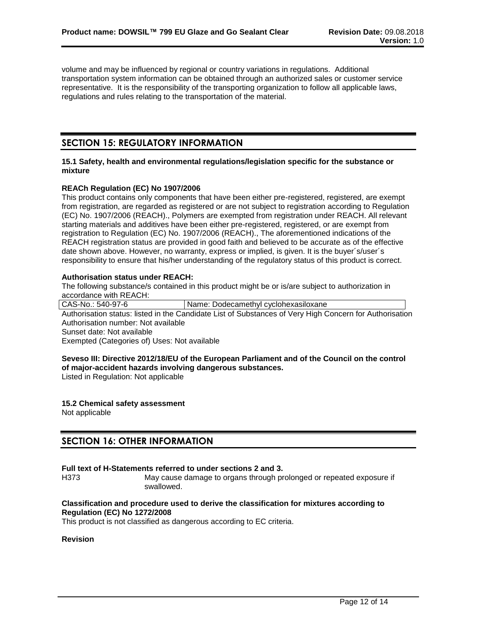volume and may be influenced by regional or country variations in regulations. Additional transportation system information can be obtained through an authorized sales or customer service representative. It is the responsibility of the transporting organization to follow all applicable laws, regulations and rules relating to the transportation of the material.

# **SECTION 15: REGULATORY INFORMATION**

#### **15.1 Safety, health and environmental regulations/legislation specific for the substance or mixture**

# **REACh Regulation (EC) No 1907/2006**

This product contains only components that have been either pre-registered, registered, are exempt from registration, are regarded as registered or are not subject to registration according to Regulation (EC) No. 1907/2006 (REACH)., Polymers are exempted from registration under REACH. All relevant starting materials and additives have been either pre-registered, registered, or are exempt from registration to Regulation (EC) No. 1907/2006 (REACH)., The aforementioned indications of the REACH registration status are provided in good faith and believed to be accurate as of the effective date shown above. However, no warranty, express or implied, is given. It is the buyer´s/user´s responsibility to ensure that his/her understanding of the regulatory status of this product is correct.

# **Authorisation status under REACH:**

The following substance/s contained in this product might be or is/are subject to authorization in accordance with REACH:

CAS-No.: 540-97-6 | Name: Dodecamethyl cyclohexasiloxane Authorisation status: listed in the Candidate List of Substances of Very High Concern for Authorisation Authorisation number: Not available Sunset date: Not available Exempted (Categories of) Uses: Not available

# **Seveso III: Directive 2012/18/EU of the European Parliament and of the Council on the control of major-accident hazards involving dangerous substances.**

Listed in Regulation: Not applicable

#### **15.2 Chemical safety assessment** Not applicable

# **SECTION 16: OTHER INFORMATION**

# **Full text of H-Statements referred to under sections 2 and 3.**

H373 May cause damage to organs through prolonged or repeated exposure if swallowed.

### **Classification and procedure used to derive the classification for mixtures according to Regulation (EC) No 1272/2008**

This product is not classified as dangerous according to EC criteria.

# **Revision**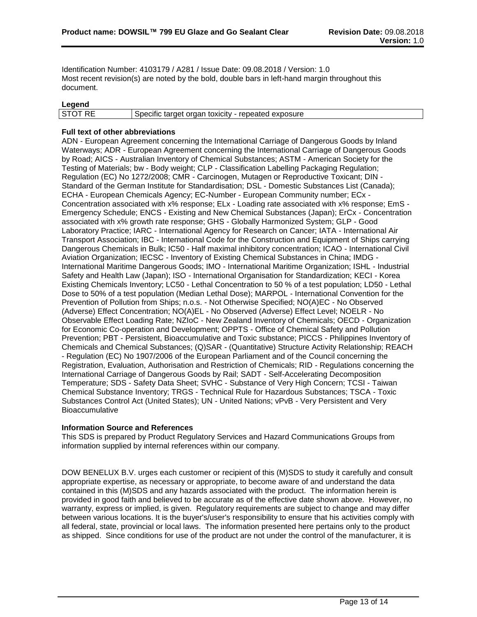Identification Number: 4103179 / A281 / Issue Date: 09.08.2018 / Version: 1.0 Most recent revision(s) are noted by the bold, double bars in left-hand margin throughout this document.

# **Legend**

| _____          |                                                    |
|----------------|----------------------------------------------------|
| <b>STOT RE</b> | Specific target organ toxicity - repeated exposure |
|                |                                                    |

# **Full text of other abbreviations**

ADN - European Agreement concerning the International Carriage of Dangerous Goods by Inland Waterways; ADR - European Agreement concerning the International Carriage of Dangerous Goods by Road; AICS - Australian Inventory of Chemical Substances; ASTM - American Society for the Testing of Materials; bw - Body weight; CLP - Classification Labelling Packaging Regulation; Regulation (EC) No 1272/2008; CMR - Carcinogen, Mutagen or Reproductive Toxicant; DIN - Standard of the German Institute for Standardisation; DSL - Domestic Substances List (Canada); ECHA - European Chemicals Agency; EC-Number - European Community number; ECx - Concentration associated with x% response; ELx - Loading rate associated with x% response; EmS - Emergency Schedule; ENCS - Existing and New Chemical Substances (Japan); ErCx - Concentration associated with x% growth rate response; GHS - Globally Harmonized System; GLP - Good Laboratory Practice; IARC - International Agency for Research on Cancer; IATA - International Air Transport Association; IBC - International Code for the Construction and Equipment of Ships carrying Dangerous Chemicals in Bulk; IC50 - Half maximal inhibitory concentration; ICAO - International Civil Aviation Organization; IECSC - Inventory of Existing Chemical Substances in China; IMDG - International Maritime Dangerous Goods; IMO - International Maritime Organization; ISHL - Industrial Safety and Health Law (Japan); ISO - International Organisation for Standardization; KECI - Korea Existing Chemicals Inventory; LC50 - Lethal Concentration to 50 % of a test population; LD50 - Lethal Dose to 50% of a test population (Median Lethal Dose); MARPOL - International Convention for the Prevention of Pollution from Ships; n.o.s. - Not Otherwise Specified; NO(A)EC - No Observed (Adverse) Effect Concentration; NO(A)EL - No Observed (Adverse) Effect Level; NOELR - No Observable Effect Loading Rate; NZIoC - New Zealand Inventory of Chemicals; OECD - Organization for Economic Co-operation and Development; OPPTS - Office of Chemical Safety and Pollution Prevention; PBT - Persistent, Bioaccumulative and Toxic substance; PICCS - Philippines Inventory of Chemicals and Chemical Substances; (Q)SAR - (Quantitative) Structure Activity Relationship; REACH - Regulation (EC) No 1907/2006 of the European Parliament and of the Council concerning the Registration, Evaluation, Authorisation and Restriction of Chemicals; RID - Regulations concerning the International Carriage of Dangerous Goods by Rail; SADT - Self-Accelerating Decomposition Temperature; SDS - Safety Data Sheet; SVHC - Substance of Very High Concern; TCSI - Taiwan Chemical Substance Inventory; TRGS - Technical Rule for Hazardous Substances; TSCA - Toxic Substances Control Act (United States); UN - United Nations; vPvB - Very Persistent and Very **Bioaccumulative** 

# **Information Source and References**

This SDS is prepared by Product Regulatory Services and Hazard Communications Groups from information supplied by internal references within our company.

DOW BENELUX B.V. urges each customer or recipient of this (M)SDS to study it carefully and consult appropriate expertise, as necessary or appropriate, to become aware of and understand the data contained in this (M)SDS and any hazards associated with the product. The information herein is provided in good faith and believed to be accurate as of the effective date shown above. However, no warranty, express or implied, is given. Regulatory requirements are subject to change and may differ between various locations. It is the buyer's/user's responsibility to ensure that his activities comply with all federal, state, provincial or local laws. The information presented here pertains only to the product as shipped. Since conditions for use of the product are not under the control of the manufacturer, it is